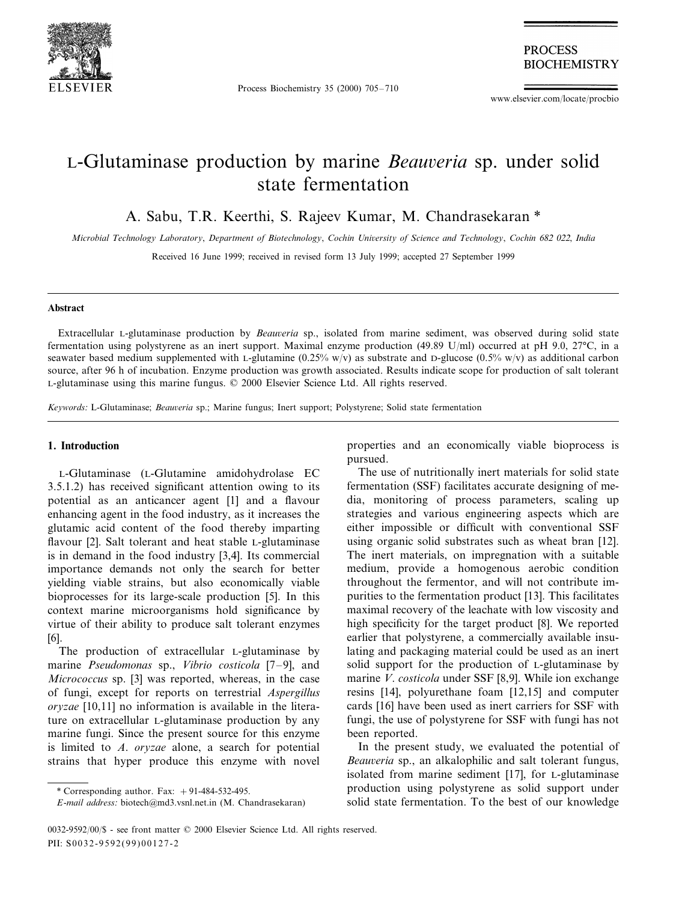

Process Biochemistry 35 (2000) 705–710

**PROCESS BIOCHEMISTRY** 

www.elsevier.com/locate/procbio

# L-Glutaminase production by marine *Beauveria* sp. under solid state fermentation

A. Sabu, T.R. Keerthi, S. Rajeev Kumar, M. Chandrasekaran \*

*Microbial Technology Laboratory*, *Department of Biotechnology*, *Cochin Uni*6*ersity of Science and Technology*, *Cochin* <sup>682</sup> <sup>022</sup>, *India*

Received 16 June 1999; received in revised form 13 July 1999; accepted 27 September 1999

#### **Abstract**

Extracellular L-glutaminase production by *Beauveria* sp., isolated from marine sediment, was observed during solid state fermentation using polystyrene as an inert support. Maximal enzyme production (49.89 U/ml) occurred at pH 9.0, 27°C, in a seawater based medium supplemented with L-glutamine  $(0.25\% \text{ w/v})$  as substrate and D-glucose  $(0.5\% \text{ w/v})$  as additional carbon source, after 96 h of incubation. Enzyme production was growth associated. Results indicate scope for production of salt tolerant L-glutaminase using this marine fungus. © 2000 Elsevier Science Ltd. All rights reserved.

*Keywords: L-Glutaminase; Beauveria* sp.; Marine fungus; Inert support; Polystyrene; Solid state fermentation

### **1. Introduction**

L-Glutaminase (L-Glutamine amidohydrolase EC 3.5.1.2) has received significant attention owing to its potential as an anticancer agent [1] and a flavour enhancing agent in the food industry, as it increases the glutamic acid content of the food thereby imparting flavour [2]. Salt tolerant and heat stable L-glutaminase is in demand in the food industry [3,4]. Its commercial importance demands not only the search for better yielding viable strains, but also economically viable bioprocesses for its large-scale production [5]. In this context marine microorganisms hold significance by virtue of their ability to produce salt tolerant enzymes [6].

The production of extracellular L-glutaminase by marine *Pseudomonas* sp., *Vibrio costicola* [7–9], and *Micrococcus* sp. [3] was reported, whereas, in the case of fungi, except for reports on terrestrial *Aspergillus oryzae* [10,11] no information is available in the literature on extracellular L-glutaminase production by any marine fungi. Since the present source for this enzyme is limited to *A*. *oryzae* alone, a search for potential strains that hyper produce this enzyme with novel

properties and an economically viable bioprocess is pursued.

The use of nutritionally inert materials for solid state fermentation (SSF) facilitates accurate designing of media, monitoring of process parameters, scaling up strategies and various engineering aspects which are either impossible or difficult with conventional SSF using organic solid substrates such as wheat bran [12]. The inert materials, on impregnation with a suitable medium, provide a homogenous aerobic condition throughout the fermentor, and will not contribute impurities to the fermentation product [13]. This facilitates maximal recovery of the leachate with low viscosity and high specificity for the target product [8]. We reported earlier that polystyrene, a commercially available insulating and packaging material could be used as an inert solid support for the production of L-glutaminase by marine *V*. *costicola* under SSF [8,9]. While ion exchange resins [14], polyurethane foam [12,15] and computer cards [16] have been used as inert carriers for SSF with fungi, the use of polystyrene for SSF with fungi has not been reported.

In the present study, we evaluated the potential of *Beauveria* sp., an alkalophilic and salt tolerant fungus, isolated from marine sediment [17], for L-glutaminase production using polystyrene as solid support under solid state fermentation. To the best of our knowledge

<sup>\*</sup> Corresponding author. Fax:  $+91-484-532-495$ .

*E*-*mail address*: biotech@md3.vsnl.net.in (M. Chandrasekaran)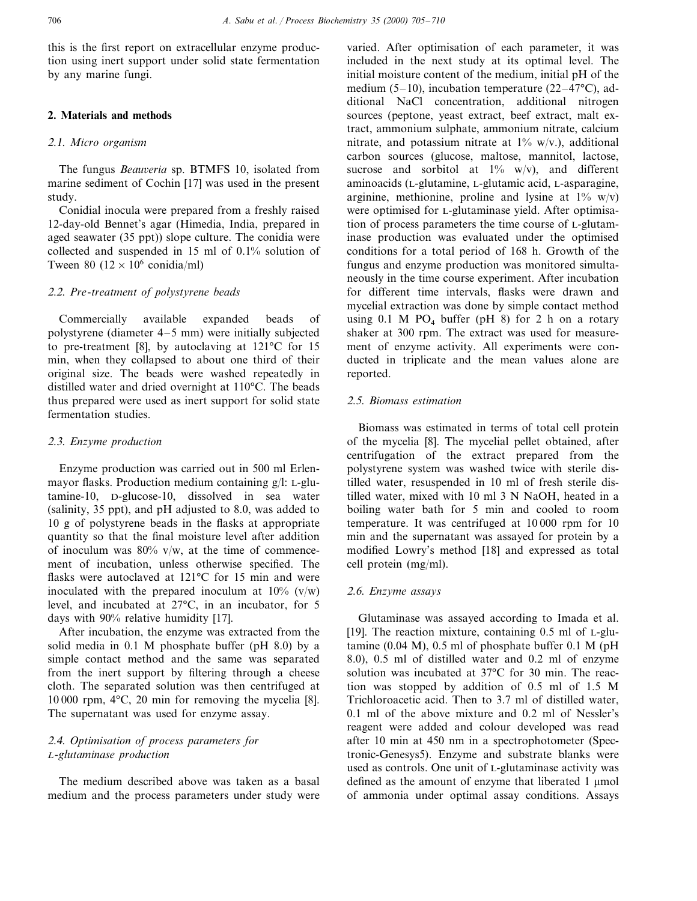this is the first report on extracellular enzyme production using inert support under solid state fermentation by any marine fungi.

## **2. Materials and methods**

## <sup>2</sup>.1. *Micro organism*

The fungus *Beauveria* sp. BTMFS 10, isolated from marine sediment of Cochin [17] was used in the present study.

Conidial inocula were prepared from a freshly raised 12-day-old Bennet's agar (Himedia, India, prepared in aged seawater (35 ppt)) slope culture. The conidia were collected and suspended in 15 ml of 0.1% solution of Tween 80 ( $12 \times 10^6$  conidia/ml)

## <sup>2</sup>.2. *Pre*-*treatment of polystyrene beads*

Commercially available expanded beads of polystyrene (diameter 4–5 mm) were initially subjected to pre-treatment [8], by autoclaving at 121°C for 15 min, when they collapsed to about one third of their original size. The beads were washed repeatedly in distilled water and dried overnight at 110°C. The beads thus prepared were used as inert support for solid state fermentation studies.

## <sup>2</sup>.3. *Enzyme production*

Enzyme production was carried out in 500 ml Erlenmayor flasks. Production medium containing g/l: L-glutamine-10, D-glucose-10, dissolved in sea water (salinity, 35 ppt), and pH adjusted to 8.0, was added to 10 g of polystyrene beads in the flasks at appropriate quantity so that the final moisture level after addition of inoculum was  $80\%$  v/w, at the time of commencement of incubation, unless otherwise specified. The flasks were autoclaved at 121°C for 15 min and were inoculated with the prepared inoculum at  $10\%$  (v/w) level, and incubated at 27°C, in an incubator, for 5 days with 90% relative humidity [17].

After incubation, the enzyme was extracted from the solid media in 0.1 M phosphate buffer (pH 8.0) by a simple contact method and the same was separated from the inert support by filtering through a cheese cloth. The separated solution was then centrifuged at 10 000 rpm, 4°C, 20 min for removing the mycelia [8]. The supernatant was used for enzyme assay.

# <sup>2</sup>.4. *Optimisation of process parameters for L*-*glutaminase production*

The medium described above was taken as a basal medium and the process parameters under study were

varied. After optimisation of each parameter, it was included in the next study at its optimal level. The initial moisture content of the medium, initial pH of the medium (5–10), incubation temperature (22–47°C), additional NaCl concentration, additional nitrogen sources (peptone, yeast extract, beef extract, malt extract, ammonium sulphate, ammonium nitrate, calcium nitrate, and potassium nitrate at  $1\%$  w/v.), additional carbon sources (glucose, maltose, mannitol, lactose, sucrose and sorbitol at  $1\%$  w/v), and different aminoacids (L-glutamine, L-glutamic acid, L-asparagine, arginine, methionine, proline and lysine at  $1\%$  w/v) were optimised for L-glutaminase yield. After optimisation of process parameters the time course of L-glutaminase production was evaluated under the optimised conditions for a total period of 168 h. Growth of the fungus and enzyme production was monitored simultaneously in the time course experiment. After incubation for different time intervals, flasks were drawn and mycelial extraction was done by simple contact method using  $0.1$  M PO<sub>4</sub> buffer (pH 8) for 2 h on a rotary shaker at 300 rpm. The extract was used for measurement of enzyme activity. All experiments were conducted in triplicate and the mean values alone are reported.

## <sup>2</sup>.5. *Biomass estimation*

Biomass was estimated in terms of total cell protein of the mycelia [8]. The mycelial pellet obtained, after centrifugation of the extract prepared from the polystyrene system was washed twice with sterile distilled water, resuspended in 10 ml of fresh sterile distilled water, mixed with 10 ml 3 N NaOH, heated in a boiling water bath for 5 min and cooled to room temperature. It was centrifuged at 10 000 rpm for 10 min and the supernatant was assayed for protein by a modified Lowry's method [18] and expressed as total cell protein (mg/ml).

### <sup>2</sup>.6. *Enzyme assays*

Glutaminase was assayed according to Imada et al. [19]. The reaction mixture, containing 0.5 ml of L-glutamine (0.04 M), 0.5 ml of phosphate buffer 0.1 M (pH 8.0), 0.5 ml of distilled water and 0.2 ml of enzyme solution was incubated at 37°C for 30 min. The reaction was stopped by addition of 0.5 ml of 1.5 M Trichloroacetic acid. Then to 3.7 ml of distilled water, 0.1 ml of the above mixture and 0.2 ml of Nessler's reagent were added and colour developed was read after 10 min at 450 nm in a spectrophotometer (Spectronic-Genesys5). Enzyme and substrate blanks were used as controls. One unit of L-glutaminase activity was defined as the amount of enzyme that liberated  $1 \mu$ mol of ammonia under optimal assay conditions. Assays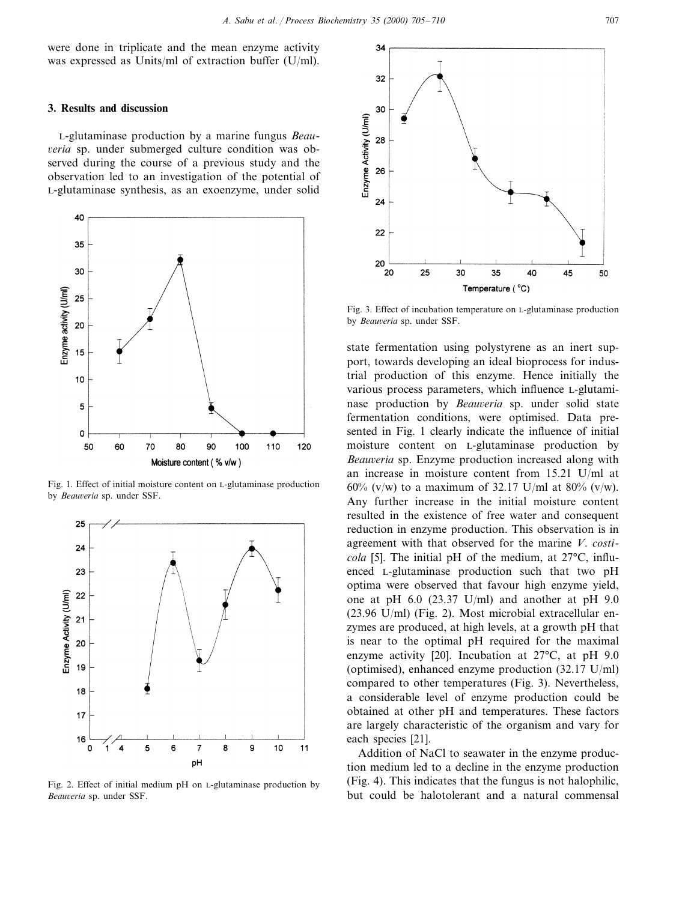were done in triplicate and the mean enzyme activity was expressed as Units/ml of extraction buffer (U/ml).

#### **3. Results and discussion**

L-glutaminase production by a marine fungus *Beau*-6*eria* sp. under submerged culture condition was observed during the course of a previous study and the observation led to an investigation of the potential of L-glutaminase synthesis, as an exoenzyme, under solid



Fig. 1. Effect of initial moisture content on L-glutaminase production by *Beauveria* sp. under SSF.



Fig. 2. Effect of initial medium pH on L-glutaminase production by *Beauveria* sp. under SSF.



Fig. 3. Effect of incubation temperature on L-glutaminase production by *Beauveria* sp. under SSF.

state fermentation using polystyrene as an inert support, towards developing an ideal bioprocess for industrial production of this enzyme. Hence initially the various process parameters, which influence L-glutaminase production by *Beauveria* sp. under solid state fermentation conditions, were optimised. Data presented in Fig. 1 clearly indicate the influence of initial moisture content on L-glutaminase production by *Beauveria* sp. Enzyme production increased along with an increase in moisture content from 15.21 U/ml at 60% (v/w) to a maximum of 32.17 U/ml at 80% (v/w). Any further increase in the initial moisture content resulted in the existence of free water and consequent reduction in enzyme production. This observation is in agreement with that observed for the marine *V*. *costicola* [5]. The initial pH of the medium, at 27°C, influenced L-glutaminase production such that two pH optima were observed that favour high enzyme yield, one at pH 6.0 (23.37 U/ml) and another at pH 9.0 (23.96 U/ml) (Fig. 2). Most microbial extracellular enzymes are produced, at high levels, at a growth pH that is near to the optimal pH required for the maximal enzyme activity [20]. Incubation at 27°C, at pH 9.0 (optimised), enhanced enzyme production (32.17 U/ml) compared to other temperatures (Fig. 3). Nevertheless, a considerable level of enzyme production could be obtained at other pH and temperatures. These factors are largely characteristic of the organism and vary for each species [21].

Addition of NaCl to seawater in the enzyme production medium led to a decline in the enzyme production (Fig. 4). This indicates that the fungus is not halophilic, but could be halotolerant and a natural commensal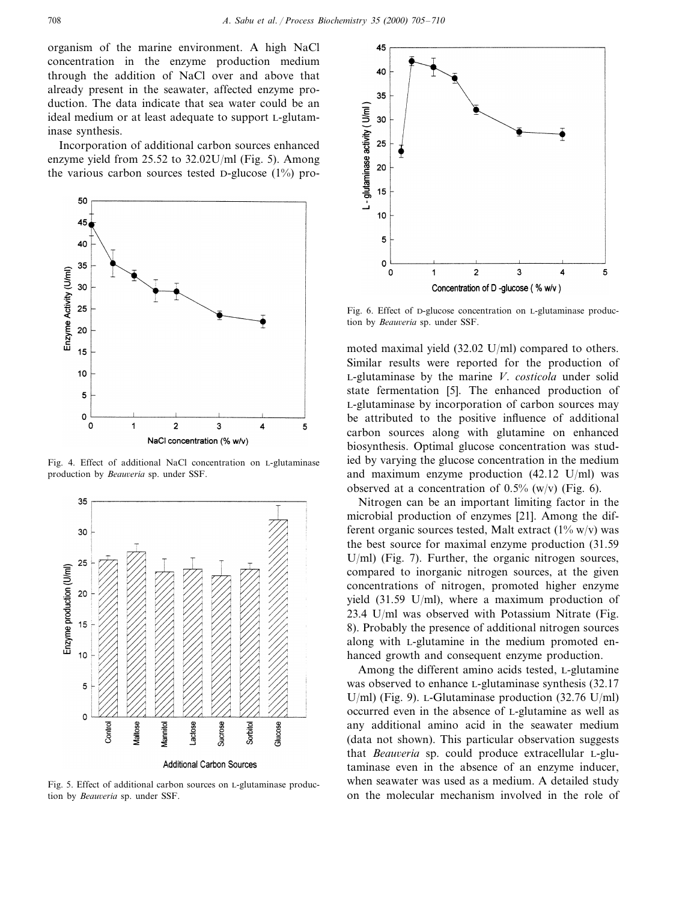organism of the marine environment. A high NaCl concentration in the enzyme production medium through the addition of NaCl over and above that already present in the seawater, affected enzyme production. The data indicate that sea water could be an ideal medium or at least adequate to support L-glutaminase synthesis.

Incorporation of additional carbon sources enhanced enzyme yield from 25.52 to 32.02U/ml (Fig. 5). Among the various carbon sources tested D-glucose  $(1\%)$  pro-



Fig. 4. Effect of additional NaCl concentration on L-glutaminase production by *Beauveria* sp. under SSF.



Fig. 5. Effect of additional carbon sources on L-glutaminase production by *Beauveria* sp. under SSF.



Fig. 6. Effect of D-glucose concentration on L-glutaminase production by *Beauveria* sp. under SSF.

moted maximal yield (32.02 U/ml) compared to others. Similar results were reported for the production of L-glutaminase by the marine *V*. *costicola* under solid state fermentation [5]. The enhanced production of L-glutaminase by incorporation of carbon sources may be attributed to the positive influence of additional carbon sources along with glutamine on enhanced biosynthesis. Optimal glucose concentration was studied by varying the glucose concentration in the medium and maximum enzyme production (42.12 U/ml) was observed at a concentration of  $0.5\%$  (w/v) (Fig. 6).

Nitrogen can be an important limiting factor in the microbial production of enzymes [21]. Among the different organic sources tested, Malt extract  $(1\% \text{ w/v})$  was the best source for maximal enzyme production (31.59 U/ml) (Fig. 7). Further, the organic nitrogen sources, compared to inorganic nitrogen sources, at the given concentrations of nitrogen, promoted higher enzyme yield (31.59 U/ml), where a maximum production of 23.4 U/ml was observed with Potassium Nitrate (Fig. 8). Probably the presence of additional nitrogen sources along with L-glutamine in the medium promoted enhanced growth and consequent enzyme production.

Among the different amino acids tested, L-glutamine was observed to enhance L-glutaminase synthesis (32.17 U/ml) (Fig. 9). L-Glutaminase production (32.76 U/ml) occurred even in the absence of L-glutamine as well as any additional amino acid in the seawater medium (data not shown). This particular observation suggests that *Beauveria* sp. could produce extracellular L-glutaminase even in the absence of an enzyme inducer, when seawater was used as a medium. A detailed study on the molecular mechanism involved in the role of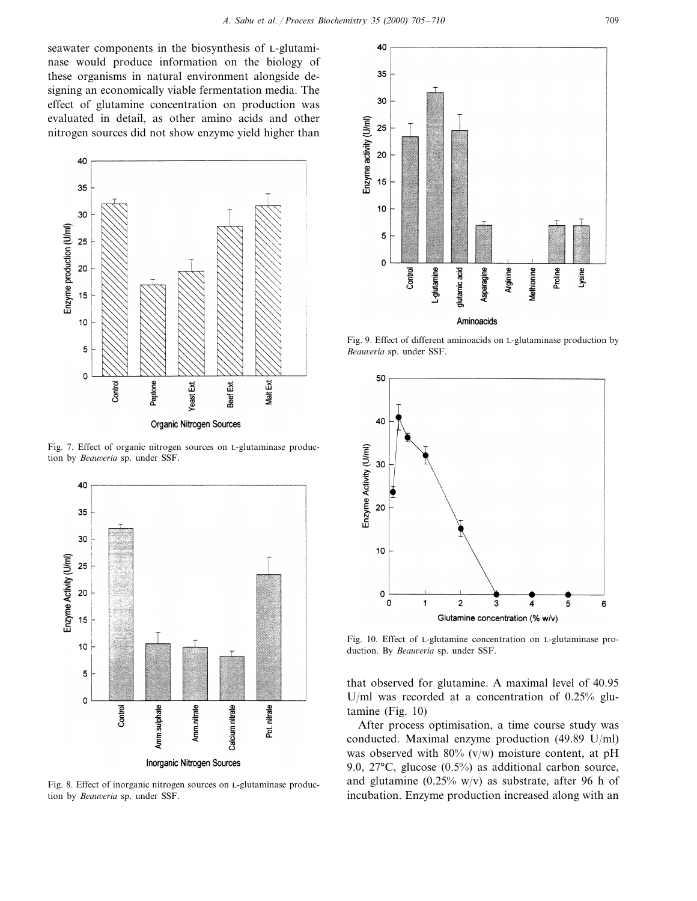seawater components in the biosynthesis of L-glutaminase would produce information on the biology of these organisms in natural environment alongside designing an economically viable fermentation media. The effect of glutamine concentration on production was evaluated in detail, as other amino acids and other nitrogen sources did not show enzyme yield higher than



Fig. 7. Effect of organic nitrogen sources on L-glutaminase production by *Beauveria* sp. under SSF.



Fig. 8. Effect of inorganic nitrogen sources on L-glutaminase production by *Beauveria* sp. under SSF.



Fig. 9. Effect of different aminoacids on L-glutaminase production by  $Beaweria$  sp. under SSF.



Fig. 10. Effect of L-glutamine concentration on L-glutaminase production. By *Beauveria* sp. under SSF.

that observed for glutamine. A maximal level of 40.95 U/ml was recorded at a concentration of 0.25% glutamine (Fig. 10)

After process optimisation, a time course study was conducted. Maximal enzyme production (49.89 U/ml) was observed with  $80\%$  (v/w) moisture content, at pH 9.0, 27°C, glucose (0.5%) as additional carbon source, and glutamine  $(0.25\% \text{ w/v})$  as substrate, after 96 h of incubation. Enzyme production increased along with an